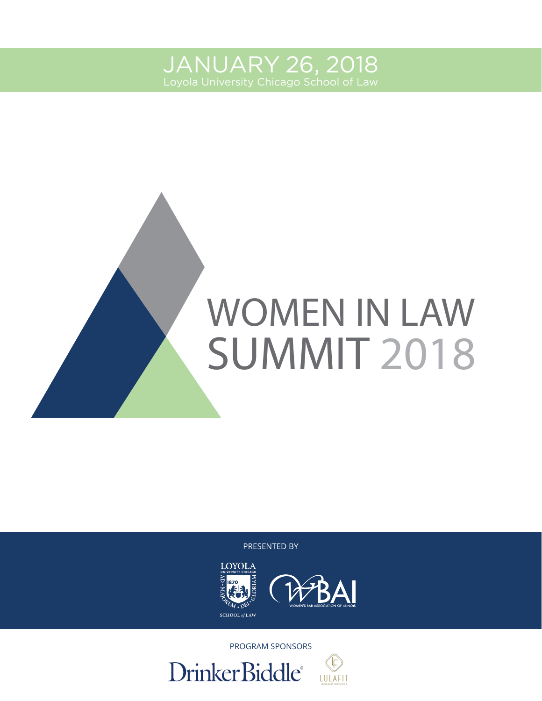JANUARY 26, 2018



PRESENTED BY





PROGRAM SPONSORS

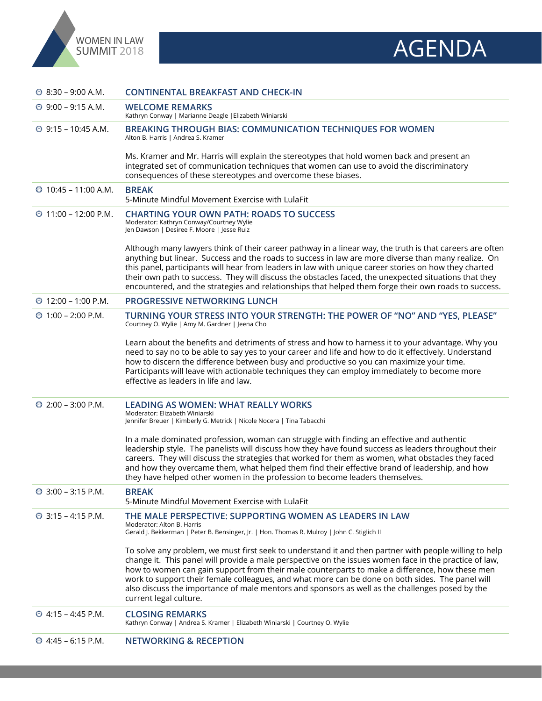



| $\circledcirc$ 8:30 – 9:00 A.M.    | <b>CONTINENTAL BREAKFAST AND CHECK-IN</b>                                                                                                                                                                                                                                                                                                                                                                                                                                                                                                           |
|------------------------------------|-----------------------------------------------------------------------------------------------------------------------------------------------------------------------------------------------------------------------------------------------------------------------------------------------------------------------------------------------------------------------------------------------------------------------------------------------------------------------------------------------------------------------------------------------------|
| $\circledcirc$ 9:00 – 9:15 A.M.    | <b>WELCOME REMARKS</b><br>Kathryn Conway   Marianne Deagle   Elizabeth Winiarski                                                                                                                                                                                                                                                                                                                                                                                                                                                                    |
| $\circledcirc$ 9:15 – 10:45 A.M.   | <b>BREAKING THROUGH BIAS: COMMUNICATION TECHNIQUES FOR WOMEN</b><br>Alton B. Harris   Andrea S. Kramer                                                                                                                                                                                                                                                                                                                                                                                                                                              |
|                                    | Ms. Kramer and Mr. Harris will explain the stereotypes that hold women back and present an<br>integrated set of communication techniques that women can use to avoid the discriminatory<br>consequences of these stereotypes and overcome these biases.                                                                                                                                                                                                                                                                                             |
| $\circledcirc$ 10:45 – 11:00 A.M.  | <b>BREAK</b><br>5-Minute Mindful Movement Exercise with LulaFit                                                                                                                                                                                                                                                                                                                                                                                                                                                                                     |
| $\circled{11:00}$ – 12:00 P.M.     | <b>CHARTING YOUR OWN PATH: ROADS TO SUCCESS</b><br>Moderator: Kathryn Conway/Courtney Wylie<br>Jen Dawson   Desiree F. Moore   Jesse Ruiz                                                                                                                                                                                                                                                                                                                                                                                                           |
|                                    | Although many lawyers think of their career pathway in a linear way, the truth is that careers are often<br>anything but linear. Success and the roads to success in law are more diverse than many realize. On<br>this panel, participants will hear from leaders in law with unique career stories on how they charted<br>their own path to success. They will discuss the obstacles faced, the unexpected situations that they<br>encountered, and the strategies and relationships that helped them forge their own roads to success.           |
| $\textcircled{12:00}$ – 1:00 P.M.  | <b>PROGRESSIVE NETWORKING LUNCH</b>                                                                                                                                                                                                                                                                                                                                                                                                                                                                                                                 |
| $\circ$ 1:00 – 2:00 P.M.           | TURNING YOUR STRESS INTO YOUR STRENGTH: THE POWER OF "NO" AND "YES, PLEASE"<br>Courtney O. Wylie   Amy M. Gardner   Jeena Cho                                                                                                                                                                                                                                                                                                                                                                                                                       |
|                                    | Learn about the benefits and detriments of stress and how to harness it to your advantage. Why you<br>need to say no to be able to say yes to your career and life and how to do it effectively. Understand<br>how to discern the difference between busy and productive so you can maximize your time.<br>Participants will leave with actionable techniques they can employ immediately to become more<br>effective as leaders in life and law.                                                                                                   |
| $\textcircled{2}:00 - 3:00$ P.M.   | <b>LEADING AS WOMEN: WHAT REALLY WORKS</b><br>Moderator: Elizabeth Winiarski<br>Jennifer Breuer   Kimberly G. Metrick   Nicole Nocera   Tina Tabacchi                                                                                                                                                                                                                                                                                                                                                                                               |
|                                    | In a male dominated profession, woman can struggle with finding an effective and authentic<br>leadership style. The panelists will discuss how they have found success as leaders throughout their<br>careers. They will discuss the strategies that worked for them as women, what obstacles they faced<br>and how they overcame them, what helped them find their effective brand of leadership, and how<br>they have helped other women in the profession to become leaders themselves.                                                          |
| $\circledcirc$ 3:00 - 3:15 P.M.    | <b>BREAK</b><br>5-Minute Mindful Movement Exercise with LulaFit                                                                                                                                                                                                                                                                                                                                                                                                                                                                                     |
| $\circledcirc$ 3:15 – 4:15 P.M.    | THE MALE PERSPECTIVE: SUPPORTING WOMEN AS LEADERS IN LAW<br>Moderator: Alton B. Harris<br>Gerald J. Bekkerman   Peter B. Bensinger, Jr.   Hon. Thomas R. Mulroy   John C. Stiglich II                                                                                                                                                                                                                                                                                                                                                               |
|                                    | To solve any problem, we must first seek to understand it and then partner with people willing to help<br>change it. This panel will provide a male perspective on the issues women face in the practice of law,<br>how to women can gain support from their male counterparts to make a difference, how these men<br>work to support their female colleagues, and what more can be done on both sides. The panel will<br>also discuss the importance of male mentors and sponsors as well as the challenges posed by the<br>current legal culture. |
| $\textcircled{2}$ 4:15 - 4:45 P.M. | <b>CLOSING REMARKS</b><br>Kathryn Conway   Andrea S. Kramer   Elizabeth Winiarski   Courtney O. Wylie                                                                                                                                                                                                                                                                                                                                                                                                                                               |
| $\textcircled{2}$ 4:45 - 6:15 P.M. | <b>NETWORKING &amp; RECEPTION</b>                                                                                                                                                                                                                                                                                                                                                                                                                                                                                                                   |